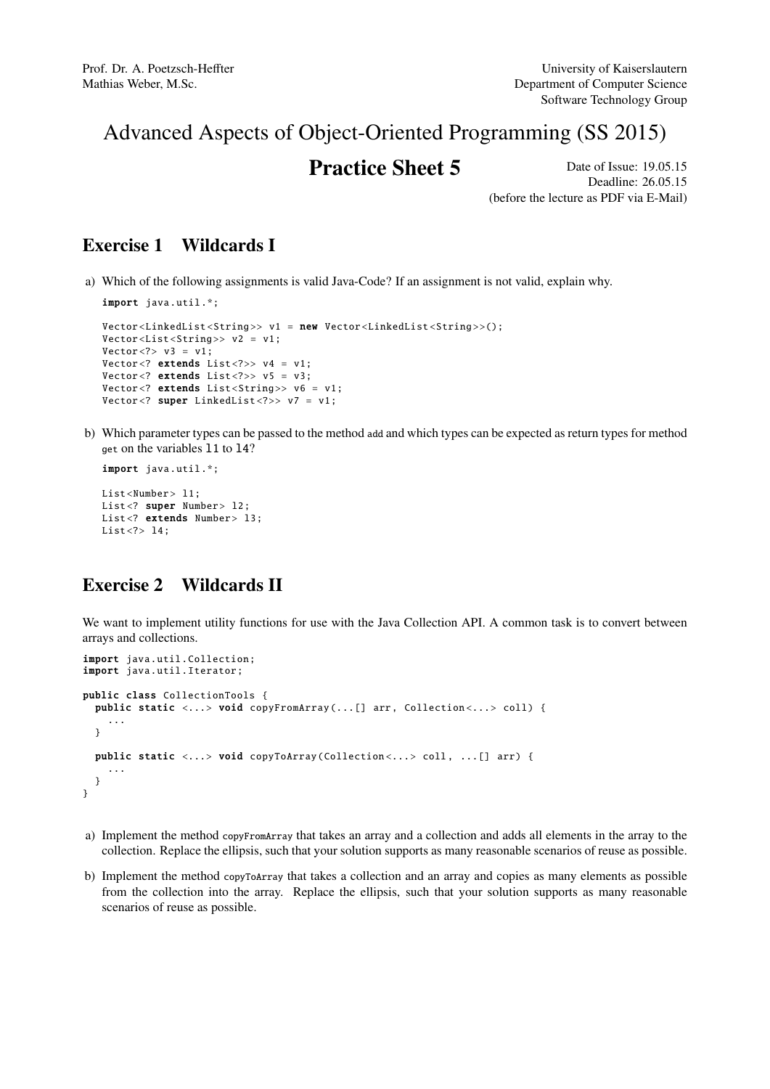# Advanced Aspects of Object-Oriented Programming (SS 2015)

# **Practice Sheet 5** Date of Issue: 19.05.15

Deadline: 26.05.15 (before the lecture as PDF via E-Mail)

### Exercise 1 Wildcards I

a) Which of the following assignments is valid Java-Code? If an assignment is not valid, explain why.

```
import java.util.*;
Vector<LinkedList<String>> v1 = new Vector<LinkedList<String>>();
Vector <List <String>> v2 = v1;
Vector < ? > v3 = v1;Vector <? extends List <?>> v4 = v1:
Vector <? extends List <?>> v5 = v3;
Vector<? extends List<String>> v6 = v1;
Vector <? super LinkedList <?>> v7 = v1;
```
b) Which parameter types can be passed to the method add and which types can be expected as return types for method get on the variables l1 to l4?

```
import java.util.*;
List<Number> 11;
List<? super Number> 12:
List<? extends Number> 13;
List <?> 14;
```
### Exercise 2 Wildcards II

We want to implement utility functions for use with the Java Collection API. A common task is to convert between arrays and collections.

```
import java.util. Collection;
import java.util.Iterator;
public class CollectionTools {
  public static \langle \ldots \rangle void copyFromArray (... [] arr, Collection\langle \ldots \rangle coll) {
     ...
  }
  public static <...> void copyToArray (Collection<...> coll, ...[] arr) {
    ...
  }
}
```
- a) Implement the method copyFromArray that takes an array and a collection and adds all elements in the array to the collection. Replace the ellipsis, such that your solution supports as many reasonable scenarios of reuse as possible.
- b) Implement the method copyToArray that takes a collection and an array and copies as many elements as possible from the collection into the array. Replace the ellipsis, such that your solution supports as many reasonable scenarios of reuse as possible.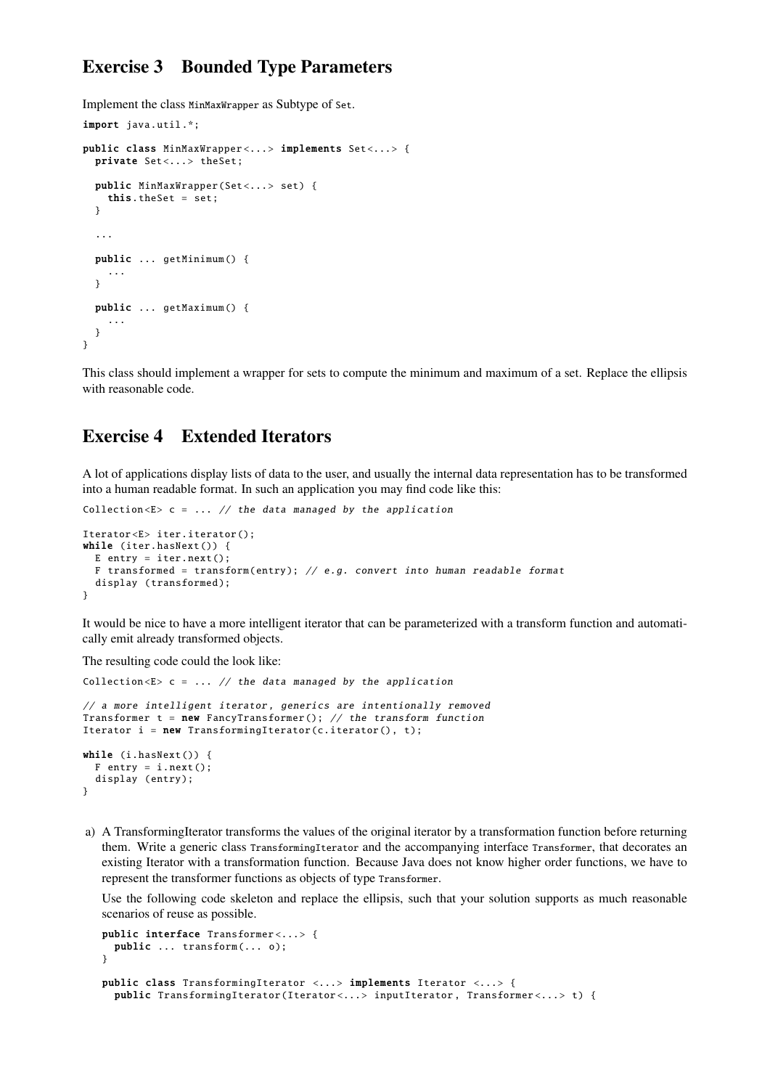#### Exercise 3 Bounded Type Parameters

Implement the class MinMaxWrapper as Subtype of Set.

import java.util.\*;

```
public class MinMaxWrapper<...> implements Set<...> {
 private Set<...> theSet;
 public MinMaxWrapper (Set<...> set) {
   this.theSet = set;
  }
  ...
 public ... getMinimum () {
    ...
  }
 public ... getMaximum () {
    ...
 }
}
```
This class should implement a wrapper for sets to compute the minimum and maximum of a set. Replace the ellipsis with reasonable code.

#### Exercise 4 Extended Iterators

A lot of applications display lists of data to the user, and usually the internal data representation has to be transformed into a human readable format. In such an application you may find code like this:

```
Collection \langle E \rangle c = ... // the data managed by the application
Iterator <E> iter.iterator ();
while (iter.hasNext()) {
 E entry = iter.next();
 F transformed = transform (entry ); // e.g. convert into human readable format
  display (transformed);
}
```
It would be nice to have a more intelligent iterator that can be parameterized with a transform function and automatically emit already transformed objects.

The resulting code could the look like:

```
Collection \langle E \rangle c = ... // the data managed by the application
// a more intelligent iterator, generics are intentionally removed
Transformer t = new FancyTransformer(); // the transform function
Iterator i = new TransformingIterator(c.iterator(), t);while (i.hasNext()) {
 F entry = i.next():
  display (entry);
}
```
a) A TransformingIterator transforms the values of the original iterator by a transformation function before returning them. Write a generic class TransformingIterator and the accompanying interface Transformer, that decorates an existing Iterator with a transformation function. Because Java does not know higher order functions, we have to represent the transformer functions as objects of type Transformer.

Use the following code skeleton and replace the ellipsis, such that your solution supports as much reasonable scenarios of reuse as possible.

```
public interface Transformer <... > {
 public ... transform(... o);
}
public class TransformingIterator <...> implements Iterator <...> {
 public TransformingIterator (Iterator <... > inputIterator , Transformer <... > t) {
```